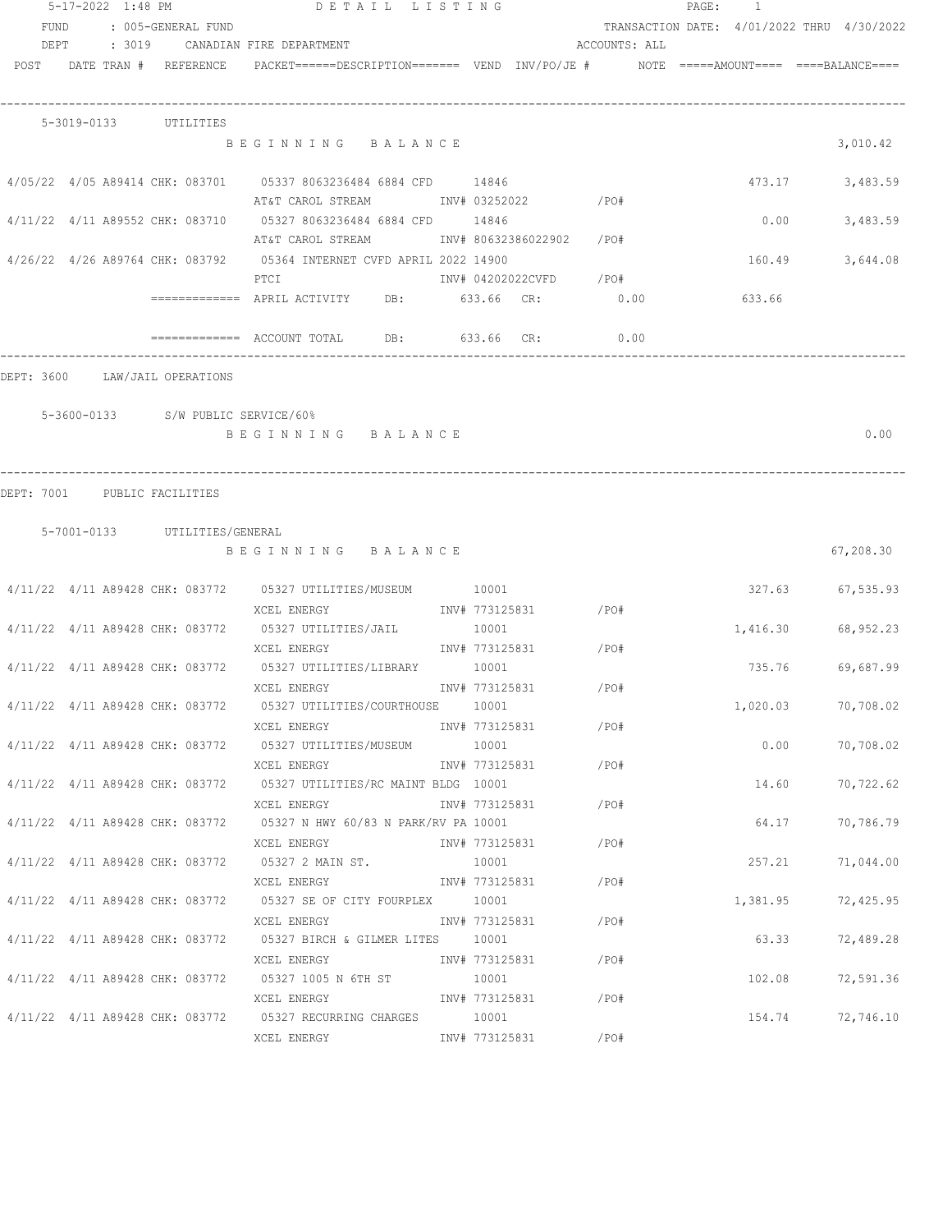|                                | 5-17-2022 1:48 PM |                               | DETAIL LISTING                                                                                                             |                |                      |               | PAGE: 1 |          |                                            |
|--------------------------------|-------------------|-------------------------------|----------------------------------------------------------------------------------------------------------------------------|----------------|----------------------|---------------|---------|----------|--------------------------------------------|
| FUND                           |                   | : 005-GENERAL FUND            |                                                                                                                            |                |                      |               |         |          | TRANSACTION DATE: 4/01/2022 THRU 4/30/2022 |
| DEPT                           |                   |                               | : 3019     CANADIAN FIRE DEPARTMENT                                                                                        |                |                      | ACCOUNTS: ALL |         |          |                                            |
|                                |                   | POST DATE TRAN # REFERENCE    | $PACKET == == = DESCRIPTION == == == $ VEND $INV/PO/JE$ # $NOTE$ =====AMOUNT==== ====BALANCE====                           |                |                      |               |         |          |                                            |
|                                |                   | 5-3019-0133 UTILITIES         |                                                                                                                            |                |                      |               |         |          |                                            |
|                                |                   |                               | BEGINNING BALANCE                                                                                                          |                |                      |               |         |          | 3,010.42                                   |
|                                |                   |                               | 4/05/22 4/05 A89414 CHK: 083701 05337 8063236484 6884 CFD 14846<br>AT&T CAROL STREAM TNV# 03252022 / PO#                   |                |                      |               |         | 473.17   | 3,483.59                                   |
|                                |                   |                               | 4/11/22 4/11 A89552 CHK: 083710 05327 8063236484 6884 CFD 14846<br>AT&T CAROL STREAM            INV# 80632386022902   /PO# |                |                      |               |         | 0.00     | 3,483.59                                   |
|                                |                   |                               | 4/26/22 4/26 A89764 CHK: 083792 05364 INTERNET CVFD APRIL 2022 14900<br>INV# 04202022CVFD /PO#<br>PTCI                     |                |                      |               |         | 160.49   | 3,644.08                                   |
|                                |                   |                               | ============ APRIL ACTIVITY DB: 633.66 CR: 0.00                                                                            |                |                      |               |         | 633.66   |                                            |
|                                |                   |                               | $\overline{\phantom{1}}$ ============= ACCOUNT TOTAL DB: 633.66 CR: 0.00                                                   |                |                      |               |         |          |                                            |
| DEPT: 3600 LAW/JAIL OPERATIONS |                   |                               |                                                                                                                            |                |                      |               |         |          |                                            |
|                                |                   |                               | 5-3600-0133 S/W PUBLIC SERVICE/60%                                                                                         |                |                      |               |         |          |                                            |
|                                |                   |                               | BEGINNING BALANCE                                                                                                          |                |                      |               |         |          | 0.00                                       |
| DEPT: 7001                     | PUBLIC FACILITIES |                               |                                                                                                                            |                |                      |               |         |          |                                            |
|                                |                   | 5-7001-0133 UTILITIES/GENERAL |                                                                                                                            |                |                      |               |         |          |                                            |
|                                |                   |                               | BEGINNING BALANCE                                                                                                          |                |                      |               |         |          | 67,208.30                                  |
|                                |                   |                               | 4/11/22 4/11 A89428 CHK: 083772 05327 UTILITIES/MUSEUM 10001                                                               |                | INV# 773125831 / PO# |               |         |          | 327.63 67,535.93                           |
|                                |                   |                               | XCEL ENERGY<br>4/11/22 4/11 A89428 CHK: 083772 05327 UTILITIES/JAIL                                                        | 10001          |                      |               |         | 1,416.30 | 68,952.23                                  |
|                                |                   |                               | XCEL ENERGY<br>4/11/22 4/11 A89428 CHK: 083772 05327 UTILITIES/LIBRARY 10001                                               |                | INV# 773125831 /PO#  |               |         |          | 735.76 69,687.99                           |
|                                |                   |                               | XCEL ENERGY<br>4/11/22 4/11 A89428 CHK: 083772 05327 UTILITIES/COURTHOUSE 10001                                            | INV# 773125831 |                      | /PO#          |         | 1,020.03 | 70,708.02                                  |
|                                |                   |                               | XCEL ENERGY<br>4/11/22 4/11 A89428 CHK: 083772 05327 UTILITIES/MUSEUM 10001                                                |                | INV# 773125831 /PO#  |               |         | 0.00     | 70,708.02                                  |
|                                |                   |                               | XCEL ENERGY                                                                                                                |                | INV# 773125831       | /PO#          |         |          |                                            |
|                                |                   |                               | 4/11/22 4/11 A89428 CHK: 083772 05327 UTILITIES/RC MAINT BLDG 10001<br>XCEL ENERGY                                         |                | INV# 773125831       | /PO#          |         | 14.60    | 70,722.62                                  |
|                                |                   |                               | 4/11/22 4/11 A89428 CHK: 083772 05327 N HWY 60/83 N PARK/RV PA 10001<br>XCEL ENERGY                                        | INV# 773125831 |                      | /PO#          |         | 64.17    | 70,786.79                                  |
|                                |                   |                               | $4/11/22$ $4/11$ A89428 CHK: 083772 05327 2 MAIN ST.<br>XCEL ENERGY                                                        | 10001          | INV# 773125831       | /PO#          |         | 257.21   | 71,044.00                                  |
|                                |                   |                               | 4/11/22 4/11 A89428 CHK: 083772 05327 SE OF CITY FOURPLEX 10001                                                            |                |                      |               |         | 1,381.95 | 72,425.95                                  |
|                                |                   |                               | XCEL ENERGY 1NV# 773125831<br>4/11/22 4/11 A89428 CHK: 083772 05327 BIRCH & GILMER LITES 10001                             |                |                      | /PO#          |         |          | 63.33 72,489.28                            |
|                                |                   |                               | XCEL ENERGY 1NV# 773125831 / PO#<br>$4/11/22$ $4/11$ A89428 CHK: 083772 05327 1005 N 6TH ST 10001                          |                |                      |               |         |          | 102.08 72,591.36                           |
|                                |                   |                               | XCEL ENERGY<br>4/11/22 4/11 A89428 CHK: 083772 05327 RECURRING CHARGES 10001                                               |                | INV# 773125831 /PO#  |               |         | 154.74   | 72,746.10                                  |
|                                |                   |                               | XCEL ENERGY                                                                                                                |                | INV# 773125831       | /PO#          |         |          |                                            |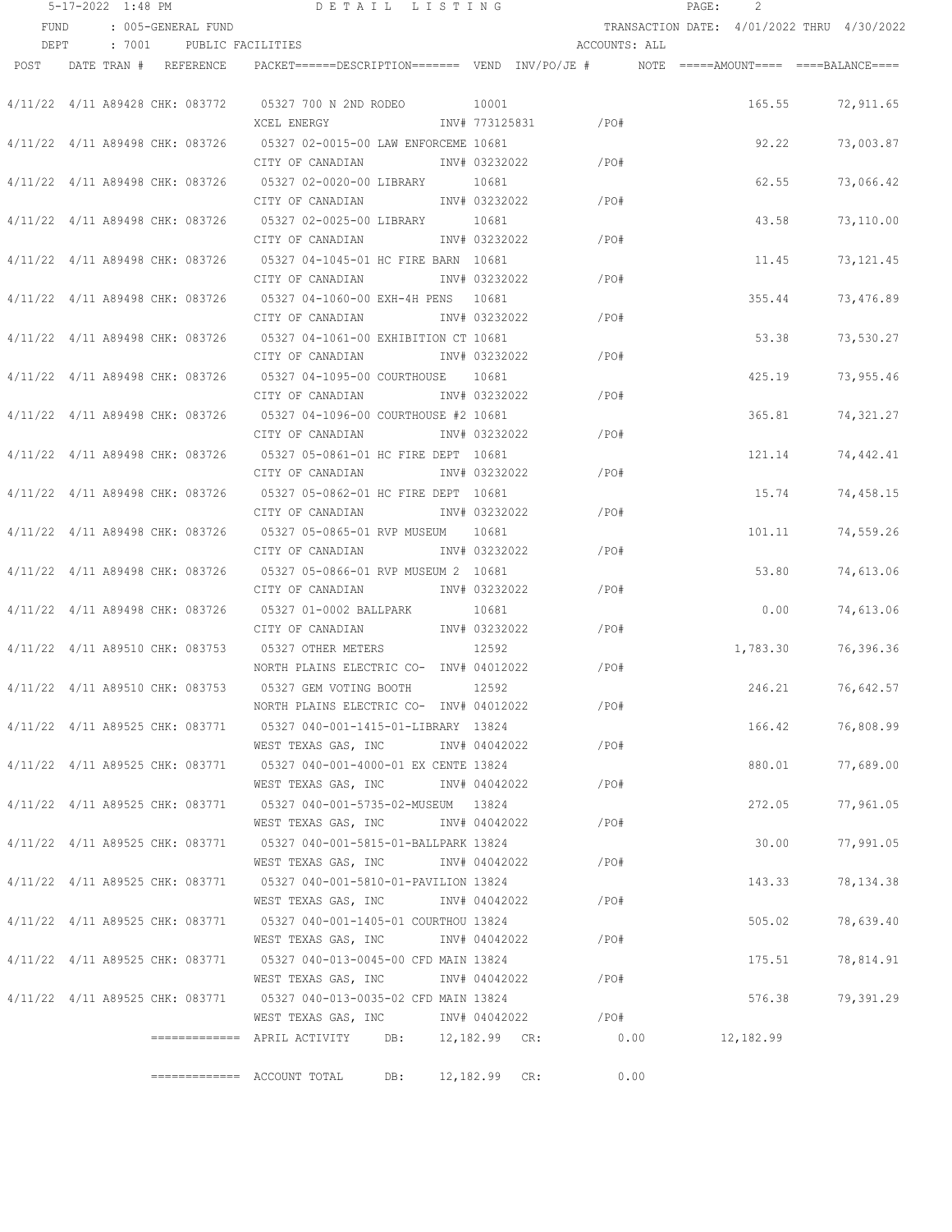|      | 5-17-2022 1:48 PM               |                                 | DETAIL LISTING                                                                           |               |                |              |               | PAGE: | 2         |                                            |
|------|---------------------------------|---------------------------------|------------------------------------------------------------------------------------------|---------------|----------------|--------------|---------------|-------|-----------|--------------------------------------------|
| FUND |                                 | : 005-GENERAL FUND              |                                                                                          |               |                |              |               |       |           | TRANSACTION DATE: 4/01/2022 THRU 4/30/2022 |
| DEPT |                                 | : 7001 PUBLIC FACILITIES        |                                                                                          |               |                |              | ACCOUNTS: ALL |       |           |                                            |
|      | POST DATE TRAN # REFERENCE      |                                 | PACKET======DESCRIPTION======= VEND INV/PO/JE #     NOTE =====AMOUNT==== ====BALANCE==== |               |                |              |               |       |           |                                            |
|      |                                 |                                 |                                                                                          |               |                |              |               |       |           |                                            |
|      |                                 | 4/11/22 4/11 A89428 CHK: 083772 | 05327 700 N 2ND RODEO 10001                                                              |               |                |              |               |       |           | 165.55 72,911.65                           |
|      |                                 |                                 | XCEL ENERGY                                                                              |               | INV# 773125831 | $\angle$ PO# |               |       |           |                                            |
|      |                                 | 4/11/22 4/11 A89498 CHK: 083726 | 05327 02-0015-00 LAW ENFORCEME 10681                                                     |               |                |              |               |       | 92.22     | 73,003.87                                  |
|      |                                 |                                 | CITY OF CANADIAN                                                                         |               | INV# 03232022  | /PO#         |               |       |           |                                            |
|      |                                 | 4/11/22 4/11 A89498 CHK: 083726 | 05327 02-0020-00 LIBRARY                                                                 |               | 10681          |              |               |       | 62.55     | 73,066.42                                  |
|      |                                 |                                 | CITY OF CANADIAN                                                                         |               | INV# 03232022  | /PO#         |               |       |           |                                            |
|      | 4/11/22 4/11 A89498 CHK: 083726 |                                 | 05327 02-0025-00 LIBRARY                                                                 |               | 10681          |              |               |       | 43.58     | 73,110.00                                  |
|      |                                 |                                 | CITY OF CANADIAN                                                                         |               | INV# 03232022  | /PO#         |               |       |           |                                            |
|      | 4/11/22 4/11 A89498 CHK: 083726 |                                 | 05327 04-1045-01 HC FIRE BARN 10681                                                      |               |                |              |               |       | 11.45     | 73, 121.45                                 |
|      |                                 |                                 | CITY OF CANADIAN                                                                         |               | INV# 03232022  |              | /PO#          |       |           |                                            |
|      | 4/11/22 4/11 A89498 CHK: 083726 |                                 | 05327 04-1060-00 EXH-4H PENS 10681                                                       |               |                |              |               |       | 355.44    | 73,476.89                                  |
|      |                                 |                                 | CITY OF CANADIAN                                                                         |               | INV# 03232022  |              | /PO#          |       |           |                                            |
|      |                                 | 4/11/22 4/11 A89498 CHK: 083726 | 05327 04-1061-00 EXHIBITION CT 10681                                                     |               |                |              |               |       | 53.38     | 73,530.27                                  |
|      |                                 |                                 | CITY OF CANADIAN MOTH INV# 03232022                                                      |               |                | /PO#         |               |       |           |                                            |
|      |                                 |                                 | 4/11/22 4/11 A89498 CHK: 083726 05327 04-1095-00 COURTHOUSE 10681                        |               |                |              |               |       | 425.19    | 73,955.46                                  |
|      |                                 |                                 | CITY OF CANADIAN MOTH NOTE 1NV# 03232022                                                 |               |                | /PO#         |               |       |           |                                            |
|      |                                 |                                 | 4/11/22 4/11 A89498 CHK: 083726 05327 04-1096-00 COURTHOUSE #2 10681                     |               |                |              |               |       | 365.81    | 74,321.27                                  |
|      |                                 |                                 | CITY OF CANADIAN MOTHOM INV# 03232022                                                    |               |                | /PO#         |               |       |           |                                            |
|      |                                 |                                 | 4/11/22 4/11 A89498 CHK: 083726 05327 05-0861-01 HC FIRE DEPT 10681                      |               |                |              |               |       | 121.14    | 74,442.41                                  |
|      |                                 |                                 | CITY OF CANADIAN                                                                         |               | INV# 03232022  | /PO#         |               |       |           |                                            |
|      | 4/11/22 4/11 A89498 CHK: 083726 |                                 | 05327 05-0862-01 HC FIRE DEPT 10681                                                      |               |                |              |               |       | 15.74     | 74,458.15                                  |
|      |                                 |                                 | CITY OF CANADIAN                                                                         |               | INV# 03232022  | /PO#         |               |       |           |                                            |
|      | 4/11/22 4/11 A89498 CHK: 083726 |                                 |                                                                                          |               |                |              |               |       | 101.11    | 74,559.26                                  |
|      |                                 |                                 | CITY OF CANADIAN                                                                         |               | INV# 03232022  | /PO#         |               |       |           |                                            |
|      | 4/11/22 4/11 A89498 CHK: 083726 |                                 |                                                                                          |               |                |              |               |       | 53.80     | 74,613.06                                  |
|      |                                 |                                 | CITY OF CANADIAN                                                                         |               | INV# 03232022  | /PO#         |               |       |           |                                            |
|      | 4/11/22 4/11 A89498 CHK: 083726 |                                 | 05327 01-0002 BALLPARK                                                                   |               | 10681          |              |               |       | 0.00      | 74,613.06                                  |
|      |                                 |                                 | CITY OF CANADIAN                                                                         |               | INV# 03232022  | /PO#         |               |       |           |                                            |
|      | 4/11/22 4/11 A89510 CHK: 083753 |                                 | 05327 OTHER METERS                                                                       |               | 12592          |              |               |       | 1,783.30  | 76,396.36                                  |
|      |                                 |                                 | NORTH PLAINS ELECTRIC CO- INV# 04012022                                                  |               |                | $/$ PO#      |               |       |           |                                            |
|      |                                 | 4/11/22 4/11 A89510 CHK: 083753 | 05327 GEM VOTING BOOTH                                                                   |               | 12592          |              |               |       | 246.21    | 76,642.57                                  |
|      |                                 |                                 | NORTH PLAINS ELECTRIC CO- INV# 04012022                                                  |               |                |              | /PO#          |       |           |                                            |
|      |                                 |                                 | 4/11/22 4/11 A89525 CHK: 083771 05327 040-001-1415-01-LIBRARY 13824                      |               |                |              |               |       | 166.42    | 76,808.99                                  |
|      |                                 |                                 | WEST TEXAS GAS, INC METH 04042022                                                        |               |                | /PO#         |               |       |           |                                            |
|      |                                 | 4/11/22 4/11 A89525 CHK: 083771 | 05327 040-001-4000-01 EX CENTE 13824                                                     |               |                |              |               |       | 880.01    | 77,689.00                                  |
|      |                                 |                                 | WEST TEXAS GAS, INC                                                                      |               | INV# 04042022  |              | /PO#          |       |           |                                            |
|      | 4/11/22 4/11 A89525 CHK: 083771 |                                 | 05327  040-001-5735-02-MUSEUM  13824                                                     |               |                |              |               |       | 272.05    | 77,961.05                                  |
|      |                                 |                                 | WEST TEXAS GAS, INC                                                                      |               | INV# 04042022  |              | /PO#          |       |           |                                            |
|      | 4/11/22 4/11 A89525 CHK: 083771 |                                 | 05327 040-001-5815-01-BALLPARK 13824                                                     |               |                |              |               |       | 30.00     | 77,991.05                                  |
|      |                                 |                                 | WEST TEXAS GAS, INC                                                                      |               | INV# 04042022  |              | $/$ PO#       |       |           |                                            |
|      |                                 | 4/11/22 4/11 A89525 CHK: 083771 | 05327 040-001-5810-01-PAVILION 13824                                                     |               |                |              |               |       | 143.33    | 78,134.38                                  |
|      |                                 |                                 | WEST TEXAS GAS, INC                                                                      |               | INV# 04042022  |              | /PO#          |       |           |                                            |
|      | 4/11/22 4/11 A89525 CHK: 083771 |                                 | 05327 040-001-1405-01 COURTHOU 13824                                                     |               |                |              |               |       | 505.02    | 78,639.40                                  |
|      |                                 |                                 | WEST TEXAS GAS, INC                                                                      |               | INV# 04042022  | /PO#         |               |       |           |                                            |
|      | 4/11/22 4/11 A89525 CHK: 083771 |                                 | 05327 040-013-0045-00 CFD MAIN 13824                                                     |               |                |              |               |       | 175.51    | 78,814.91                                  |
|      |                                 |                                 | WEST TEXAS GAS, INC                                                                      | INV# 04042022 |                |              | /PO#          |       |           |                                            |
|      |                                 | 4/11/22 4/11 A89525 CHK: 083771 | 05327 040-013-0035-02 CFD MAIN 13824                                                     |               |                |              |               |       | 576.38    | 79,391.29                                  |
|      |                                 |                                 | WEST TEXAS GAS, INC                                                                      | INV# 04042022 |                | /PO#         |               |       |           |                                            |
|      |                                 |                                 |                                                                                          |               |                |              | 0.00          |       | 12,182.99 |                                            |
|      |                                 |                                 |                                                                                          |               |                |              |               |       |           |                                            |
|      |                                 |                                 | $\equiv$ ============ ACCOUNT TOTAL                                                      | DB:           | 12,182.99 CR:  |              | 0.00          |       |           |                                            |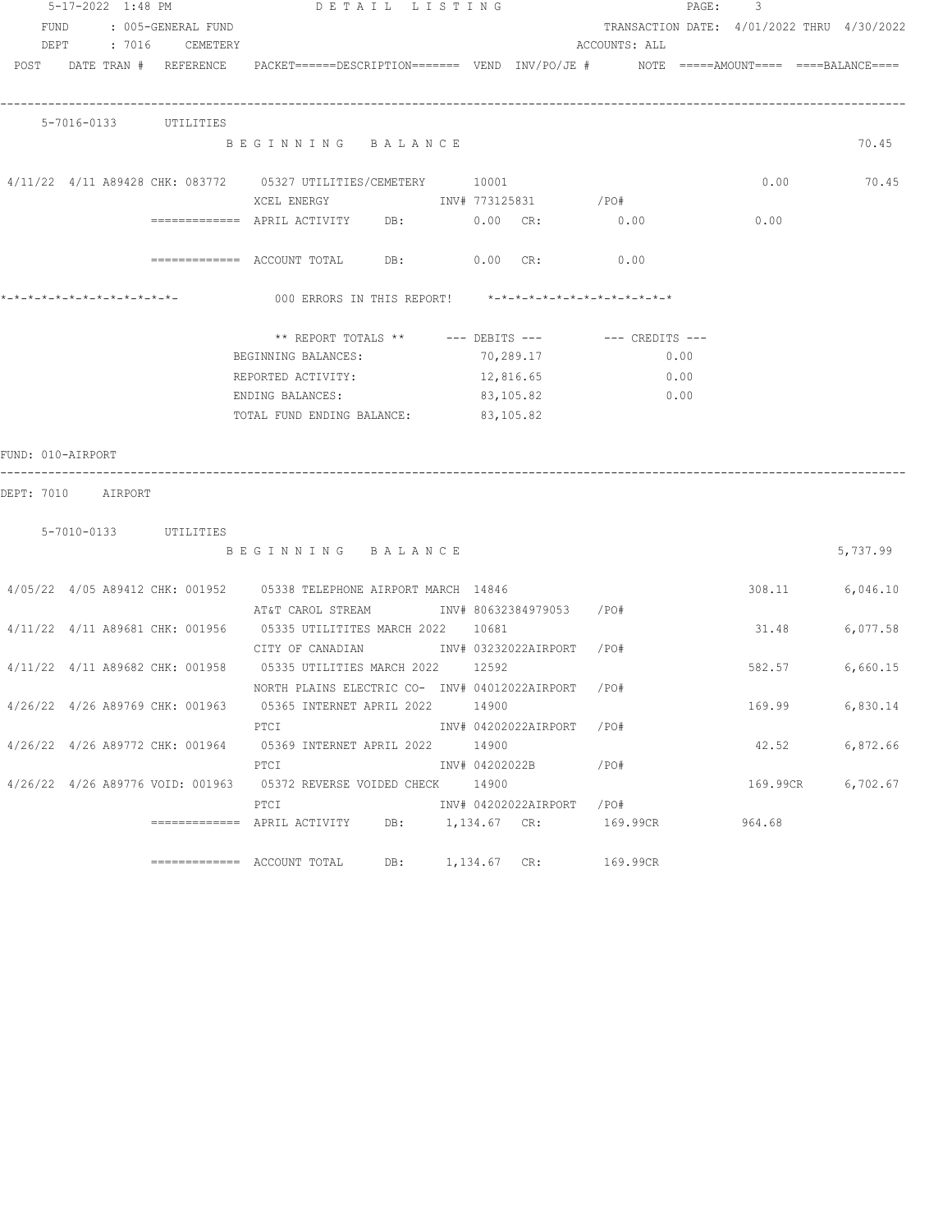|                                         | 5-17-2022 1:48 PM |                       | DETAIL LISTING                                                                                                  |                  |           |                           | PAGE:<br>3                                 |          |
|-----------------------------------------|-------------------|-----------------------|-----------------------------------------------------------------------------------------------------------------|------------------|-----------|---------------------------|--------------------------------------------|----------|
| FUND                                    |                   | : 005-GENERAL FUND    |                                                                                                                 |                  |           |                           | TRANSACTION DATE: 4/01/2022 THRU 4/30/2022 |          |
|                                         |                   | DEPT : 7016 CEMETERY  |                                                                                                                 |                  |           | ACCOUNTS: ALL             |                                            |          |
|                                         |                   |                       | POST DATE TRAN # REFERENCE PACKET======DESCRIPTION======= VEND INV/PO/JE # NOTE =====AMOUNT==== ====BALANCE==== |                  |           |                           |                                            |          |
|                                         |                   |                       |                                                                                                                 |                  |           |                           |                                            |          |
|                                         |                   |                       |                                                                                                                 |                  |           |                           |                                            |          |
|                                         |                   | 5-7016-0133 UTILITIES |                                                                                                                 |                  |           |                           |                                            |          |
|                                         |                   |                       | BEGINNING BALANCE                                                                                               |                  |           |                           |                                            | 70.45    |
|                                         |                   |                       |                                                                                                                 |                  |           |                           |                                            |          |
|                                         |                   |                       | 4/11/22 4/11 A89428 CHK: 083772 05327 UTILITIES/CEMETERY 10001                                                  |                  |           |                           | 0.00                                       | 70.45    |
|                                         |                   |                       |                                                                                                                 |                  |           |                           |                                            |          |
|                                         |                   |                       | ============ APRIL ACTIVITY DB: 0.00 CR: 0.00                                                                   |                  |           |                           | 0.00                                       |          |
|                                         |                   |                       | ============ ACCOUNT TOTAL DB: 0.00 CR: 0.00                                                                    |                  |           |                           |                                            |          |
|                                         |                   |                       |                                                                                                                 |                  |           |                           |                                            |          |
|                                         |                   |                       | 000 ERRORS IN THIS REPORT! *-*-*-*-*-*-*-*-*-*-*-*-*-*-                                                         |                  |           |                           |                                            |          |
|                                         |                   |                       |                                                                                                                 |                  |           |                           |                                            |          |
|                                         |                   |                       | ** REPORT TOTALS ** --- DEBITS --- -- CREDITS ---                                                               |                  |           |                           |                                            |          |
|                                         |                   |                       | BEGINNING BALANCES:                                                                                             |                  | 70,289.17 | 0.00                      |                                            |          |
|                                         |                   |                       | REPORTED ACTIVITY:                                                                                              |                  | 12,816.65 | 0.00                      |                                            |          |
|                                         |                   |                       | ENDING BALANCES:                                                                                                |                  | 83,105.82 | 0.00                      |                                            |          |
|                                         |                   |                       | TOTAL FUND ENDING BALANCE: 83,105.82                                                                            |                  |           |                           |                                            |          |
| FUND: 010-AIRPORT<br>DEPT: 7010 AIRPORT |                   |                       |                                                                                                                 |                  |           |                           |                                            |          |
|                                         |                   |                       |                                                                                                                 |                  |           |                           |                                            |          |
|                                         |                   | 5-7010-0133 UTILITIES |                                                                                                                 |                  |           |                           |                                            |          |
|                                         |                   |                       | BEGINNING BALANCE                                                                                               |                  |           |                           |                                            | 5,737.99 |
|                                         |                   |                       |                                                                                                                 |                  |           |                           |                                            |          |
|                                         |                   |                       | 4/05/22 4/05 A89412 CHK: 001952 05338 TELEPHONE AIRPORT MARCH 14846                                             |                  |           |                           | 308.11                                     | 6,046.10 |
|                                         |                   |                       | AT&T CAROL STREAM             INV# 80632384979053    /PO#                                                       |                  |           |                           |                                            |          |
|                                         |                   |                       | 4/11/22 4/11 A89681 CHK: 001956 05335 UTILITITES MARCH 2022 10681                                               |                  |           |                           | 31.48                                      | 6,077.58 |
|                                         |                   |                       | CITY OF CANADIAN METALLY INV# 03232022AIRPORT / PO#                                                             |                  |           |                           |                                            |          |
|                                         |                   |                       | 4/11/22 4/11 A89682 CHK: 001958 05335 UTILITIES MARCH 2022 12592                                                |                  |           |                           | 582.57                                     | 6,660.15 |
|                                         |                   |                       | NORTH PLAINS ELECTRIC CO- INV# 04012022AIRPORT /PO#                                                             |                  |           |                           |                                            |          |
|                                         |                   |                       | 4/26/22 4/26 A89769 CHK: 001963 05365 INTERNET APRIL 2022 14900                                                 |                  |           |                           | 169.99                                     | 6,830.14 |
|                                         |                   |                       | PTCI                                                                                                            |                  |           | INV# 04202022AIRPORT /PO# |                                            |          |
|                                         |                   |                       | 4/26/22 4/26 A89772 CHK: 001964 05369 INTERNET APRIL 2022 14900                                                 |                  |           |                           | 42.52                                      | 6,872.66 |
|                                         |                   |                       | PTCI                                                                                                            |                  |           | INV# 04202022B /PO#       |                                            |          |
|                                         |                   |                       | 4/26/22 4/26 A89776 VOID: 001963 05372 REVERSE VOIDED CHECK 14900                                               |                  |           |                           | 169.99CR                                   | 6,702.67 |
|                                         |                   |                       | PTCI                                                                                                            |                  |           | INV# 04202022AIRPORT /PO# |                                            |          |
|                                         |                   |                       | ============ APRIL ACTIVITY DB: 1,134.67 CR: 169.99CR                                                           |                  |           |                           | 964.68                                     |          |
|                                         |                   |                       |                                                                                                                 |                  |           |                           |                                            |          |
|                                         |                   |                       | =============    ACCOUNT  TOTAL                                                                                 | DB: 1,134.67 CR: |           | 169.99CR                  |                                            |          |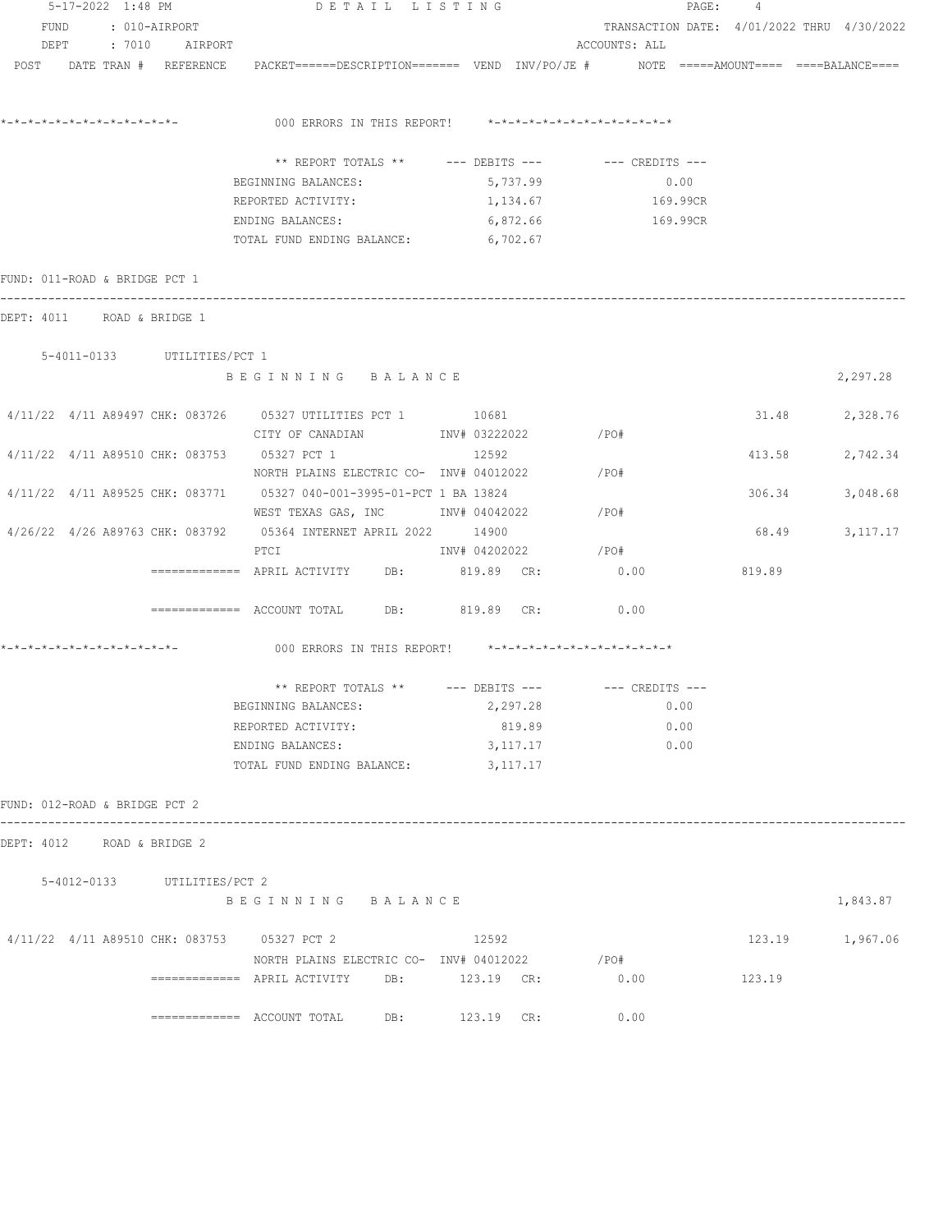|                               |  | 5-17-2022 1:48 PM           | DETAIL LISTING                                                                                                  |                |               |          |                                            | PAGE: 4 |        |                 |
|-------------------------------|--|-----------------------------|-----------------------------------------------------------------------------------------------------------------|----------------|---------------|----------|--------------------------------------------|---------|--------|-----------------|
|                               |  | FUND : 010-AIRPORT          |                                                                                                                 |                |               |          | TRANSACTION DATE: 4/01/2022 THRU 4/30/2022 |         |        |                 |
|                               |  | DEPT : 7010 AIRPORT         |                                                                                                                 |                |               |          | ACCOUNTS: ALL                              |         |        |                 |
|                               |  |                             | POST DATE TRAN # REFERENCE PACKET======DESCRIPTION======= VEND INV/PO/JE # NOTE =====AMOUNT==== ====BALANCE==== |                |               |          |                                            |         |        |                 |
|                               |  |                             |                                                                                                                 |                |               |          |                                            |         |        |                 |
|                               |  |                             |                                                                                                                 |                |               |          |                                            |         |        |                 |
|                               |  |                             |                                                                                                                 |                |               |          |                                            |         |        |                 |
|                               |  |                             |                                                                                                                 |                |               |          |                                            |         |        |                 |
|                               |  |                             | ** REPORT TOTALS ** --- DEBITS --- -- CREDITS ---                                                               |                |               |          |                                            |         |        |                 |
|                               |  |                             | BEGINNING BALANCES:                                                                                             | 5,737.99       |               |          | 0.00                                       |         |        |                 |
|                               |  |                             | REPORTED ACTIVITY:                                                                                              |                |               |          | 1,134.67 169.99CR                          |         |        |                 |
|                               |  |                             | ENDING BALANCES:                                                                                                |                |               |          | 6,872.66 169.99CR                          |         |        |                 |
|                               |  |                             | TOTAL FUND ENDING BALANCE: 6,702.67                                                                             |                |               |          |                                            |         |        |                 |
|                               |  |                             |                                                                                                                 |                |               |          |                                            |         |        |                 |
| FUND: 011-ROAD & BRIDGE PCT 1 |  |                             |                                                                                                                 |                |               |          |                                            |         |        |                 |
| DEPT: 4011 ROAD & BRIDGE 1    |  |                             |                                                                                                                 |                |               |          |                                            |         |        |                 |
|                               |  |                             |                                                                                                                 |                |               |          |                                            |         |        |                 |
|                               |  | 5-4011-0133 UTILITIES/PCT 1 |                                                                                                                 |                |               |          |                                            |         |        |                 |
|                               |  |                             | BEGINNING BALANCE                                                                                               |                |               |          |                                            |         |        | 2,297.28        |
|                               |  |                             |                                                                                                                 |                |               |          |                                            |         |        |                 |
|                               |  |                             | 4/11/22 4/11 A89497 CHK: 083726 05327 UTILITIES PCT 1 10681                                                     |                |               |          |                                            |         |        | 31.48 2,328.76  |
|                               |  |                             | CITY OF CANADIAN                  INV# 03222022                /PO#                                             |                |               |          |                                            |         |        |                 |
|                               |  |                             | 4/11/22 4/11 A89510 CHK: 083753 05327 PCT 1 12592                                                               |                |               |          |                                            |         | 413.58 | 2,742.34        |
|                               |  |                             | NORTH PLAINS ELECTRIC CO- INV# 04012022 / PO#                                                                   |                |               |          |                                            |         |        |                 |
|                               |  |                             | 4/11/22 4/11 A89525 CHK: 083771 05327 040-001-3995-01-PCT 1 BA 13824                                            |                |               |          |                                            |         | 306.34 | 3,048.68        |
|                               |  |                             | WEST TEXAS GAS, INC        INV# 04042022          /PO#                                                          |                |               |          |                                            |         |        |                 |
|                               |  |                             | 4/26/22 4/26 A89763 CHK: 083792 05364 INTERNET APRIL 2022 14900                                                 |                |               |          |                                            |         |        | 68.49 3,117.17  |
|                               |  |                             | PTCI                                                                                                            |                | INV# 04202022 |          | $/$ PO#                                    |         |        |                 |
|                               |  |                             |                                                                                                                 |                |               |          | 0.00                                       |         | 819.89 |                 |
|                               |  |                             |                                                                                                                 |                |               |          |                                            |         |        |                 |
|                               |  |                             | ============= ACCOUNT TOTAL DB: 819.89 CR: 0.00                                                                 |                |               |          |                                            |         |        |                 |
|                               |  |                             |                                                                                                                 |                |               |          |                                            |         |        |                 |
|                               |  |                             | 000 ERRORS IN THIS REPORT! *-*-*-*-*-*-*-*-*-*-*-*-*-*-                                                         |                |               |          |                                            |         |        |                 |
|                               |  |                             |                                                                                                                 |                |               |          |                                            |         |        |                 |
|                               |  |                             | ** REPORT TOTALS ** --- DEBITS --- -- CREDITS ---                                                               |                |               |          |                                            |         |        |                 |
|                               |  |                             | BEGINNING BALANCES:                                                                                             |                |               | 2,297.28 | 0.00                                       |         |        |                 |
|                               |  |                             | REPORTED ACTIVITY:                                                                                              |                |               | 819.89   | 0.00                                       |         |        |                 |
|                               |  |                             | ENDING BALANCES:                                                                                                |                |               | 3,117.17 | 0.00                                       |         |        |                 |
|                               |  |                             | TOTAL FUND ENDING BALANCE:                                                                                      |                |               | 3,117.17 |                                            |         |        |                 |
|                               |  |                             |                                                                                                                 |                |               |          |                                            |         |        |                 |
| FUND: 012-ROAD & BRIDGE PCT 2 |  |                             |                                                                                                                 |                |               |          |                                            |         |        |                 |
| DEPT: 4012 ROAD & BRIDGE 2    |  |                             |                                                                                                                 |                |               |          |                                            |         |        |                 |
|                               |  |                             |                                                                                                                 |                |               |          |                                            |         |        |                 |
|                               |  | 5-4012-0133 UTILITIES/PCT 2 |                                                                                                                 |                |               |          |                                            |         |        |                 |
|                               |  |                             | BEGINNING BALANCE                                                                                               |                |               |          |                                            |         |        | 1,843.87        |
|                               |  |                             |                                                                                                                 |                |               |          |                                            |         |        |                 |
|                               |  |                             | 4/11/22 4/11 A89510 CHK: 083753 05327 PCT 2                                                                     |                | 12592         |          |                                            |         |        | 123.19 1,967.06 |
|                               |  |                             | NORTH PLAINS ELECTRIC CO- INV# 04012022                                                                         |                |               |          | $/$ PO#                                    |         |        |                 |
|                               |  |                             |                                                                                                                 | DB: 123.19 CR: |               |          | 0.00                                       |         | 123.19 |                 |
|                               |  |                             |                                                                                                                 |                |               |          |                                            |         |        |                 |
|                               |  |                             |                                                                                                                 | DB:            | 123.19 CR:    |          | 0.00                                       |         |        |                 |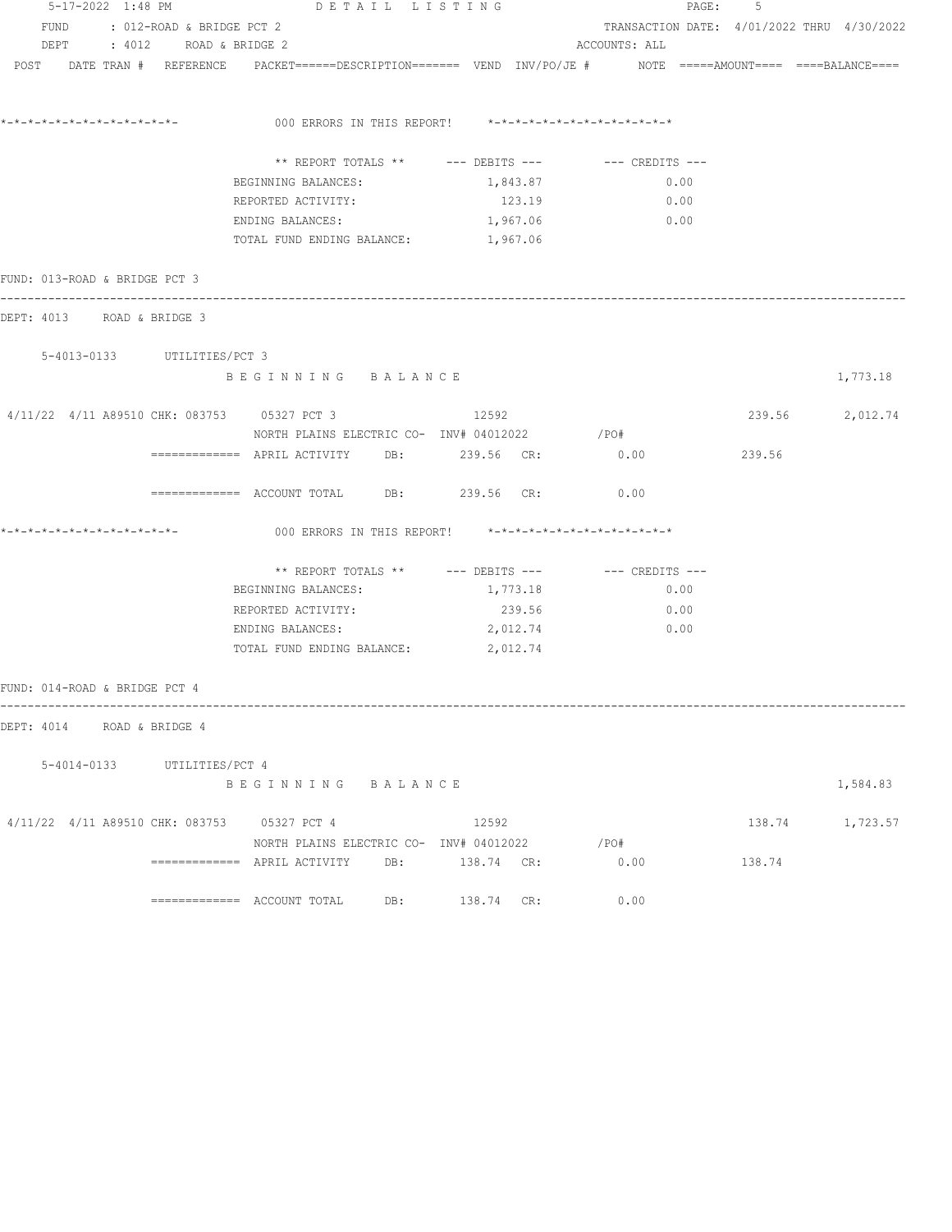| 5-17-2022 1:48 PM                           | DETAIL LISTING                             |                                                                                                                | PAGE: 5                                    |        |                 |
|---------------------------------------------|--------------------------------------------|----------------------------------------------------------------------------------------------------------------|--------------------------------------------|--------|-----------------|
| FUND : 012-ROAD & BRIDGE PCT 2              |                                            |                                                                                                                | TRANSACTION DATE: 4/01/2022 THRU 4/30/2022 |        |                 |
| DEPT : 4012 ROAD & BRIDGE 2                 |                                            |                                                                                                                | ACCOUNTS: ALL                              |        |                 |
|                                             |                                            | POST DATE TRAN # REFERENCE PACKET======DESCRIPTION======= VEND INV/PO/JE # NOTE =====AMOUNT==== ===BALANCE==== |                                            |        |                 |
|                                             |                                            | 000 ERRORS IN THIS REPORT! *-*-*-*-*-*-*-*-*-*-*-*-*-*-                                                        |                                            |        |                 |
|                                             |                                            |                                                                                                                |                                            |        |                 |
|                                             |                                            | ** REPORT TOTALS ** --- DEBITS --- -- CREDITS ---                                                              |                                            |        |                 |
|                                             | BEGINNING BALANCES:                        | 1,843.87                                                                                                       | 0.00                                       |        |                 |
|                                             | REPORTED ACTIVITY:                         | 123.19                                                                                                         | 0.00                                       |        |                 |
|                                             | ENDING BALANCES: 1,967.06                  |                                                                                                                | $\sim$ 0.00                                |        |                 |
|                                             | TOTAL FUND ENDING BALANCE: 1,967.06        |                                                                                                                |                                            |        |                 |
| FUND: 013-ROAD & BRIDGE PCT 3               |                                            |                                                                                                                |                                            |        |                 |
| DEPT: 4013 ROAD & BRIDGE 3                  |                                            |                                                                                                                |                                            |        |                 |
| 5-4013-0133 UTILITIES/PCT 3                 |                                            |                                                                                                                |                                            |        |                 |
|                                             | BEGINNING BALANCE                          |                                                                                                                |                                            |        | 1,773.18        |
| 4/11/22 4/11 A89510 CHK: 083753 05327 PCT 3 |                                            | 12592                                                                                                          |                                            |        | 239.56 2,012.74 |
|                                             |                                            | NORTH PLAINS ELECTRIC CO- INV# 04012022 / PO#                                                                  |                                            |        |                 |
|                                             |                                            | ============ APRIL ACTIVITY DB: 239.56 CR: 0.00                                                                |                                            | 239.56 |                 |
|                                             | ============= ACCOUNT TOTAL DB: 239.56 CR: |                                                                                                                | 0.00                                       |        |                 |
|                                             |                                            | 000 ERRORS IN THIS REPORT! *-*-*-*-*-*-*-*-*-*-*-*-*-*-                                                        |                                            |        |                 |
|                                             |                                            | ** REPORT TOTALS ** --- DEBITS --- -- -- CREDITS ---                                                           |                                            |        |                 |
|                                             | BEGINNING BALANCES:                        | 1,773.18                                                                                                       | 0.00                                       |        |                 |
|                                             | REPORTED ACTIVITY:                         | 239.56                                                                                                         | 0.00                                       |        |                 |
|                                             | ENDING BALANCES:                           | 2,012.74                                                                                                       | 0.00                                       |        |                 |
|                                             | TOTAL FUND ENDING BALANCE: 2,012.74        |                                                                                                                |                                            |        |                 |
| FUND: 014-ROAD & BRIDGE PCT 4               |                                            |                                                                                                                |                                            |        |                 |
| DEPT: 4014 ROAD & BRIDGE 4                  |                                            |                                                                                                                |                                            |        |                 |
|                                             |                                            |                                                                                                                |                                            |        |                 |
| 5-4014-0133 UTILITIES/PCT 4                 | BEGINNING BALANCE                          |                                                                                                                |                                            |        | 1,584.83        |
| 4/11/22 4/11 A89510 CHK: 083753 05327 PCT 4 |                                            | 12592                                                                                                          |                                            |        | 138.74 1,723.57 |
|                                             | NORTH PLAINS ELECTRIC CO- INV# 04012022    |                                                                                                                | $/$ PO#                                    |        |                 |
|                                             |                                            |                                                                                                                | 0.00                                       | 138.74 |                 |
|                                             |                                            | 138.74 CR:                                                                                                     | 0.00                                       |        |                 |